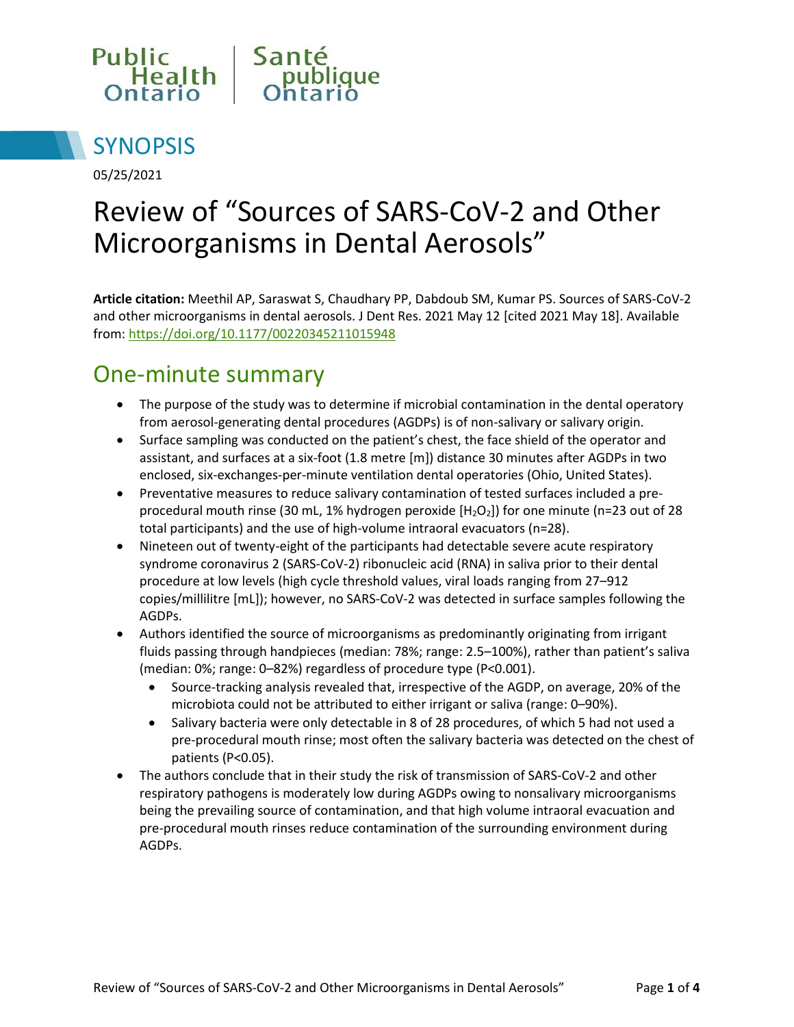



05/25/2021

# Review of "Sources of SARS-CoV-2 and Other Microorganisms in Dental Aerosols"

**Article citation:** Meethil AP, Saraswat S, Chaudhary PP, Dabdoub SM, Kumar PS. Sources of SARS-CoV-2 and other microorganisms in dental aerosols. J Dent Res. 2021 May 12 [cited 2021 May 18]. Available from:<https://doi.org/10.1177/00220345211015948>

#### One-minute summary

- The purpose of the study was to determine if microbial contamination in the dental operatory from aerosol-generating dental procedures (AGDPs) is of non-salivary or salivary origin.
- Surface sampling was conducted on the patient's chest, the face shield of the operator and assistant, and surfaces at a six-foot (1.8 metre [m]) distance 30 minutes after AGDPs in two enclosed, six-exchanges-per-minute ventilation dental operatories (Ohio, United States).
- Preventative measures to reduce salivary contamination of tested surfaces included a preprocedural mouth rinse (30 mL, 1% hydrogen peroxide [H<sub>2</sub>O<sub>2</sub>]) for one minute (n=23 out of 28 total participants) and the use of high-volume intraoral evacuators (n=28).
- Nineteen out of twenty-eight of the participants had detectable severe acute respiratory syndrome coronavirus 2 (SARS-CoV-2) ribonucleic acid (RNA) in saliva prior to their dental procedure at low levels (high cycle threshold values, viral loads ranging from 27–912 copies/millilitre [mL]); however, no SARS-CoV-2 was detected in surface samples following the AGDPs.
- Authors identified the source of microorganisms as predominantly originating from irrigant fluids passing through handpieces (median: 78%; range: 2.5–100%), rather than patient's saliva (median: 0%; range: 0–82%) regardless of procedure type (P<0.001).
	- Source-tracking analysis revealed that, irrespective of the AGDP, on average, 20% of the microbiota could not be attributed to either irrigant or saliva (range: 0–90%).
	- Salivary bacteria were only detectable in 8 of 28 procedures, of which 5 had not used a pre-procedural mouth rinse; most often the salivary bacteria was detected on the chest of patients (P<0.05).
- The authors conclude that in their study the risk of transmission of SARS-CoV-2 and other respiratory pathogens is moderately low during AGDPs owing to nonsalivary microorganisms being the prevailing source of contamination, and that high volume intraoral evacuation and pre-procedural mouth rinses reduce contamination of the surrounding environment during AGDPs.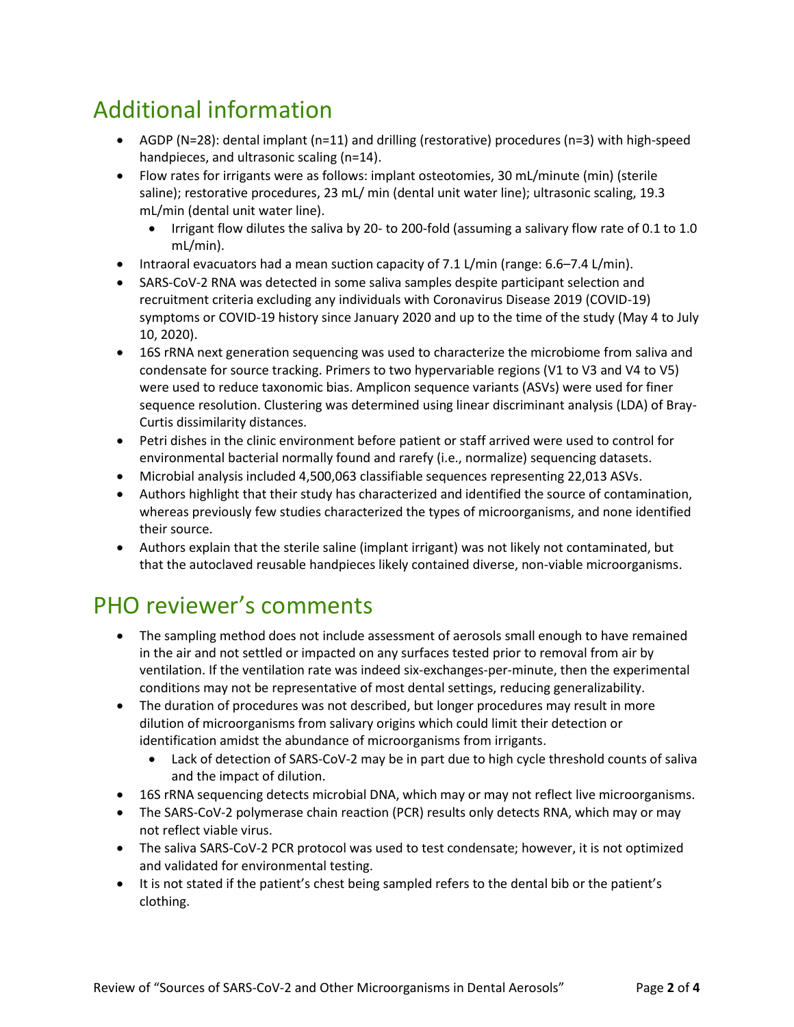## Additional information

- AGDP (N=28): dental implant (n=11) and drilling (restorative) procedures (n=3) with high-speed handpieces, and ultrasonic scaling (n=14).
- Flow rates for irrigants were as follows: implant osteotomies, 30 mL/minute (min) (sterile saline); restorative procedures, 23 mL/ min (dental unit water line); ultrasonic scaling, 19.3 mL/min (dental unit water line).
	- Irrigant flow dilutes the saliva by 20- to 200-fold (assuming a salivary flow rate of 0.1 to 1.0 mL/min).
- Intraoral evacuators had a mean suction capacity of 7.1 L/min (range: 6.6–7.4 L/min).
- SARS-CoV-2 RNA was detected in some saliva samples despite participant selection and recruitment criteria excluding any individuals with Coronavirus Disease 2019 (COVID-19) symptoms or COVID-19 history since January 2020 and up to the time of the study (May 4 to July 10, 2020).
- 16S rRNA next generation sequencing was used to characterize the microbiome from saliva and condensate for source tracking. Primers to two hypervariable regions (V1 to V3 and V4 to V5) were used to reduce taxonomic bias. Amplicon sequence variants (ASVs) were used for finer sequence resolution. Clustering was determined using linear discriminant analysis (LDA) of Bray-Curtis dissimilarity distances.
- Petri dishes in the clinic environment before patient or staff arrived were used to control for environmental bacterial normally found and rarefy (i.e., normalize) sequencing datasets.
- Microbial analysis included 4,500,063 classifiable sequences representing 22,013 ASVs.
- Authors highlight that their study has characterized and identified the source of contamination, whereas previously few studies characterized the types of microorganisms, and none identified their source.
- Authors explain that the sterile saline (implant irrigant) was not likely not contaminated, but that the autoclaved reusable handpieces likely contained diverse, non-viable microorganisms.

### PHO reviewer's comments

- The sampling method does not include assessment of aerosols small enough to have remained in the air and not settled or impacted on any surfaces tested prior to removal from air by ventilation. If the ventilation rate was indeed six-exchanges-per-minute, then the experimental conditions may not be representative of most dental settings, reducing generalizability.
- The duration of procedures was not described, but longer procedures may result in more dilution of microorganisms from salivary origins which could limit their detection or identification amidst the abundance of microorganisms from irrigants.
	- Lack of detection of SARS-CoV-2 may be in part due to high cycle threshold counts of saliva and the impact of dilution.
- 16S rRNA sequencing detects microbial DNA, which may or may not reflect live microorganisms.
- The SARS-CoV-2 polymerase chain reaction (PCR) results only detects RNA, which may or may not reflect viable virus.
- The saliva SARS-CoV-2 PCR protocol was used to test condensate; however, it is not optimized and validated for environmental testing.
- It is not stated if the patient's chest being sampled refers to the dental bib or the patient's clothing.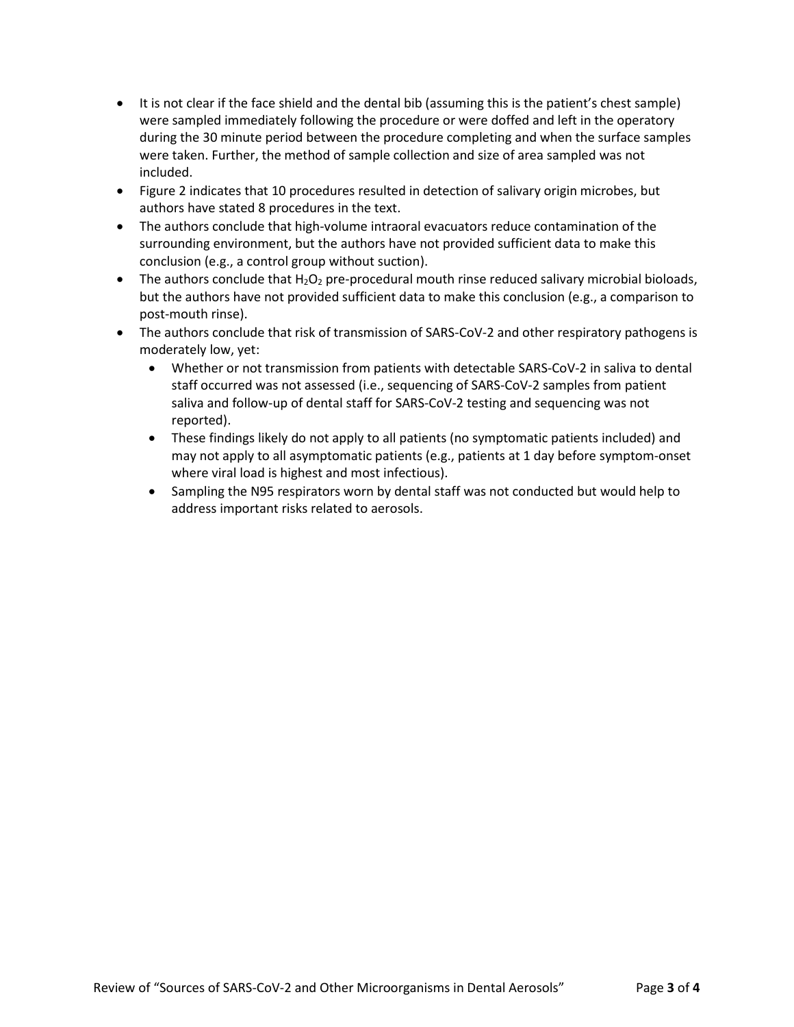- It is not clear if the face shield and the dental bib (assuming this is the patient's chest sample) were sampled immediately following the procedure or were doffed and left in the operatory during the 30 minute period between the procedure completing and when the surface samples were taken. Further, the method of sample collection and size of area sampled was not included.
- Figure 2 indicates that 10 procedures resulted in detection of salivary origin microbes, but authors have stated 8 procedures in the text.
- The authors conclude that high-volume intraoral evacuators reduce contamination of the surrounding environment, but the authors have not provided sufficient data to make this conclusion (e.g., a control group without suction).
- The authors conclude that  $H_2O_2$  pre-procedural mouth rinse reduced salivary microbial bioloads, but the authors have not provided sufficient data to make this conclusion (e.g., a comparison to post-mouth rinse).
- The authors conclude that risk of transmission of SARS-CoV-2 and other respiratory pathogens is moderately low, yet:
	- Whether or not transmission from patients with detectable SARS-CoV-2 in saliva to dental staff occurred was not assessed (i.e., sequencing of SARS-CoV-2 samples from patient saliva and follow-up of dental staff for SARS-CoV-2 testing and sequencing was not reported).
	- These findings likely do not apply to all patients (no symptomatic patients included) and may not apply to all asymptomatic patients (e.g., patients at 1 day before symptom-onset where viral load is highest and most infectious).
	- Sampling the N95 respirators worn by dental staff was not conducted but would help to address important risks related to aerosols.